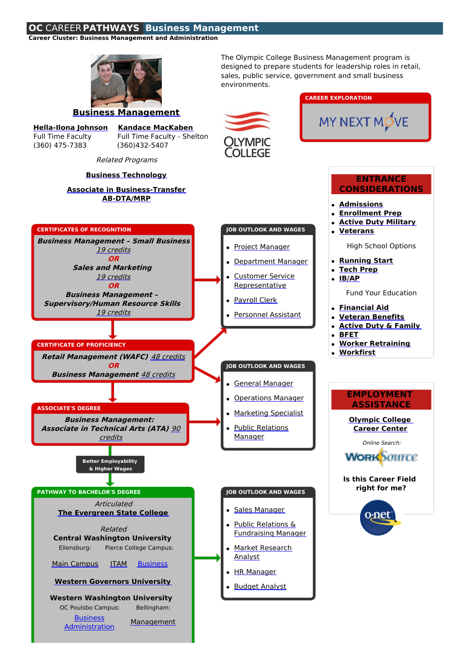## **OC** CAREER **PATHWAYS Business Management**

**Career Cluster: Business Management and Administration**



**[Hella-Ilona](http://www.olympic.edu/academics/faculty-staff/johnson-2) Johnson Kandace [MacKaben](http://www.olympic.edu/academics/faculty-staff/mackaben)** Full Time Faculty Full Time Faculty - Shelton

(360) 475-7383 (360)432-5407

**[Administration](http://www.wwu.edu/ee/degrees/business-admin/)** 

**[Management](https://cbe.wwu.edu/mgmt)** 

The Olympic College Business Management program is designed to prepare students for leadership roles in retail, sales, public service, government and small business environments.

**CAREER EXPLORATION**

MY NEXT MOVE



## Related Programs **Business [Technology](http://washingtoncareerpathway.org/c/published/2619/oc-business-technology.html) ENTRANCE Associate in [Business-Transfer](http://www.olympic.edu/node/26251) CONSIDERATIONS AB-DTA/MRP [Admissions](http://www.olympic.edu/node/26306) [Enrollment](http://www.olympic.edu/node/28136) Prep Active Duty [Military](http://www.olympic.edu/node/39141) CERTIFICATES OF RECOGNITION JOB OUTLOOK AND WAGES [Veterans](http://www.olympic.edu/node/39121) Business Management – Small Business** High School Options • Project [Manager](http://www.mynextmove.org/profile/summary/13-1161.00) 19 [credits](http://www.olympic.edu/node/28696) **OR [Running](http://www.olympic.edu/node/29236) Start** [Department](http://www.mynextmove.org/profile/summary/41-1011.00) Manager  $\bullet$ **Sales and Marketing [Tech](http://www.olympic.edu/node/28256) Prep**  $\bullet$ 19 [credits](http://www.olympic.edu/node/28691) Customer Service **[IB/AP](http://www.olympic.edu/node/27721)** [Representative](http://www.mynextmove.org/profile/summary/43-4051.00) **OR** Fund Your Education **Business Management –** [Payroll](http://www.mynextmove.org/profile/summary/43-3051.00) Clerk **Supervisory/Human Resource Skills [Financial](http://www.olympic.edu/node/26326) Aid** 19 [credits](http://www.olympic.edu/node/28701) • [Personnel](http://www.mynextmove.org/profile/summary/43-4161.00) Assistant **[Veteran](http://www.olympic.edu/node/39146) Benefits Active Duty & [Family](http://www.olympic.edu/node/28251) [BFET](http://www.olympic.edu/node/282) Worker [Retraining](http://www.olympic.edu/node/28311) CERTIFICATE OF PROFICIENCY**  $\bullet$ **[Workfirst](http://www.olympic.edu/node/28316) Retail Management (WAFC)** 48 [credits](http://www.olympic.edu/node/28681) **OR JOB OUTLOOK AND WAGES Business Management** 48 [credits](http://www.olympic.edu/node/28676) General [Manager](http://www.mynextmove.org/profile/summary/11-1021.00) **EMPLOYMENT [Operations](http://www.mynextmove.org/profile/summary/11-1021.00) Manager ASSISTANCE ASSOCIATE'S DEGREE** [Marketing](http://www.mynextmove.org/profile/summary/13-1161.00) Specialist **Business Management: [Olympic](http://www.olympic.edu/services/career-center) College Associate in T[echnical](http://www.olympic.edu/node/28531) Arts (ATA)** 90 Public [Relations](http://www.mynextmove.org/profile/summary/11-2031.00) **[Career](http://www.olympic.edu/node/28466) Center** credits Manager Online [Search:](https://seeker.worksourcewa.com/) **WORK SOUTCE Better Employability & Higher WagesIs this Career Field right for me? PATHWAY TO BACHELOR'S DEGREE JOB OUTLOOK AND WAGES Articulated** • Sales [Manager](http://www.mynextmove.org/profile/summary/11-2022.00) **The [Evergreen](http://www.evergreen.edu/studies/business) State College** ∩∙net Public Relations & Related [Fundraising](http://www.mynextmove.org/profile/summary/11-2031.00) Manager **Central Washington University** Ellensburg: Pierce College Campus: Market [Research](http://www.mynextmove.org/profile/summary/13-1161.00) Analyst Main [Campus](http://www.cwu.edu/business/) [ITAM](http://www.cwu.edu/pierce-county/bas-itam) [Business](http://www.cwu.edu/business/pierce) • HR [Manager](http://www.mynextmove.org/profile/summary/11-3121.00) **Western [Governors](http://washington.wgu.edu/business/online_business_degree) University** [Budget](http://www.mynextmove.org/profile/summary/13-2031.00) Analyst **Western Washington University** OC Poulsbo Campus: Bellingham: **Business**